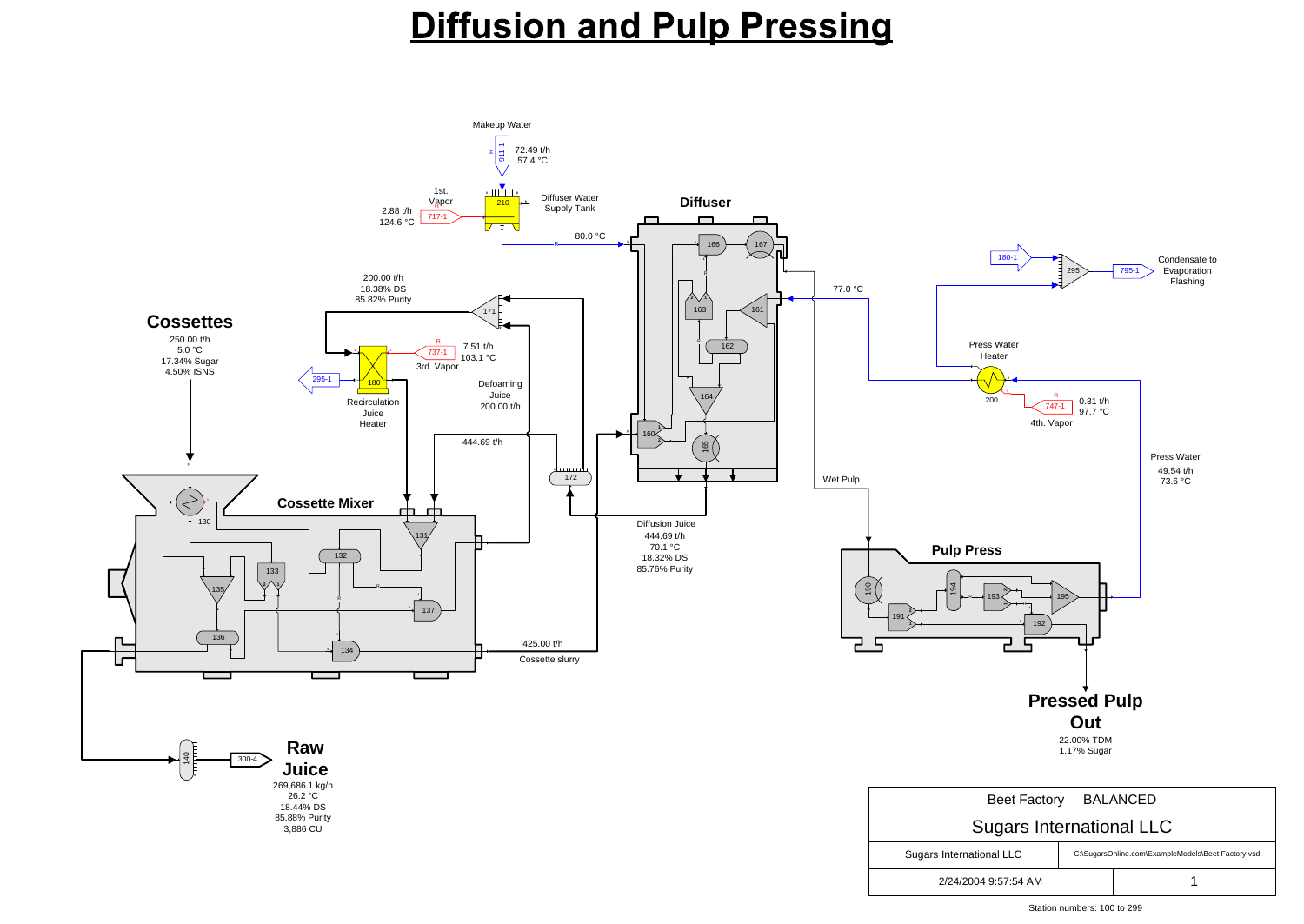| Beet Factory BALANCED           |                                                    |  |
|---------------------------------|----------------------------------------------------|--|
| <b>Sugars International LLC</b> |                                                    |  |
| Sugars International LLC        | C:\SugarsOnline.com\ExampleModels\Beet Factory.vsd |  |
| 2/24/2004 9:57:54 AM            |                                                    |  |

Station numbers: 100 to 299

#### **Diffusion and Pulp Pressing**

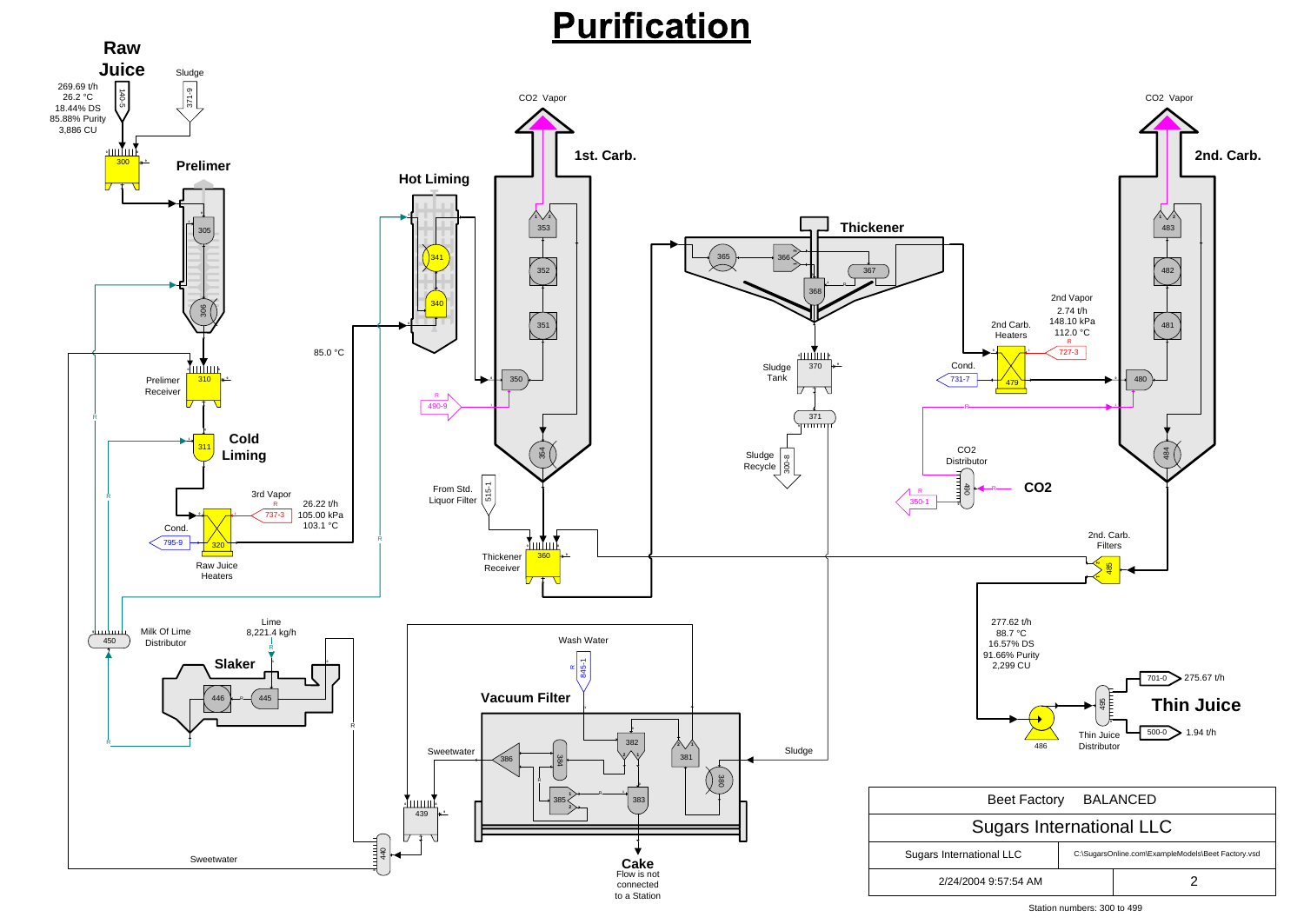Station numbers: 300 to 499

# **Purification**

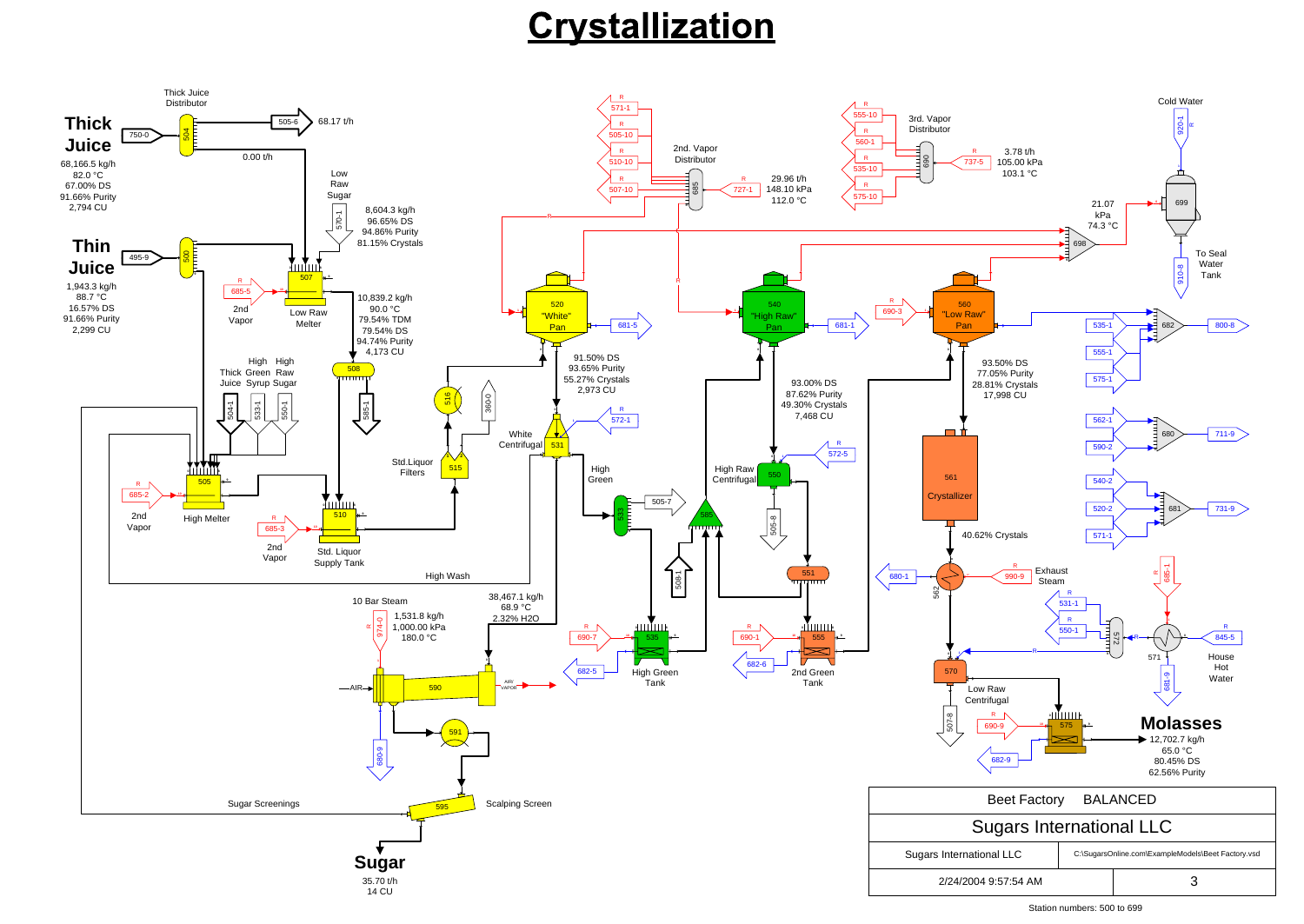Station numbers: 500 to 699

### Crystallization

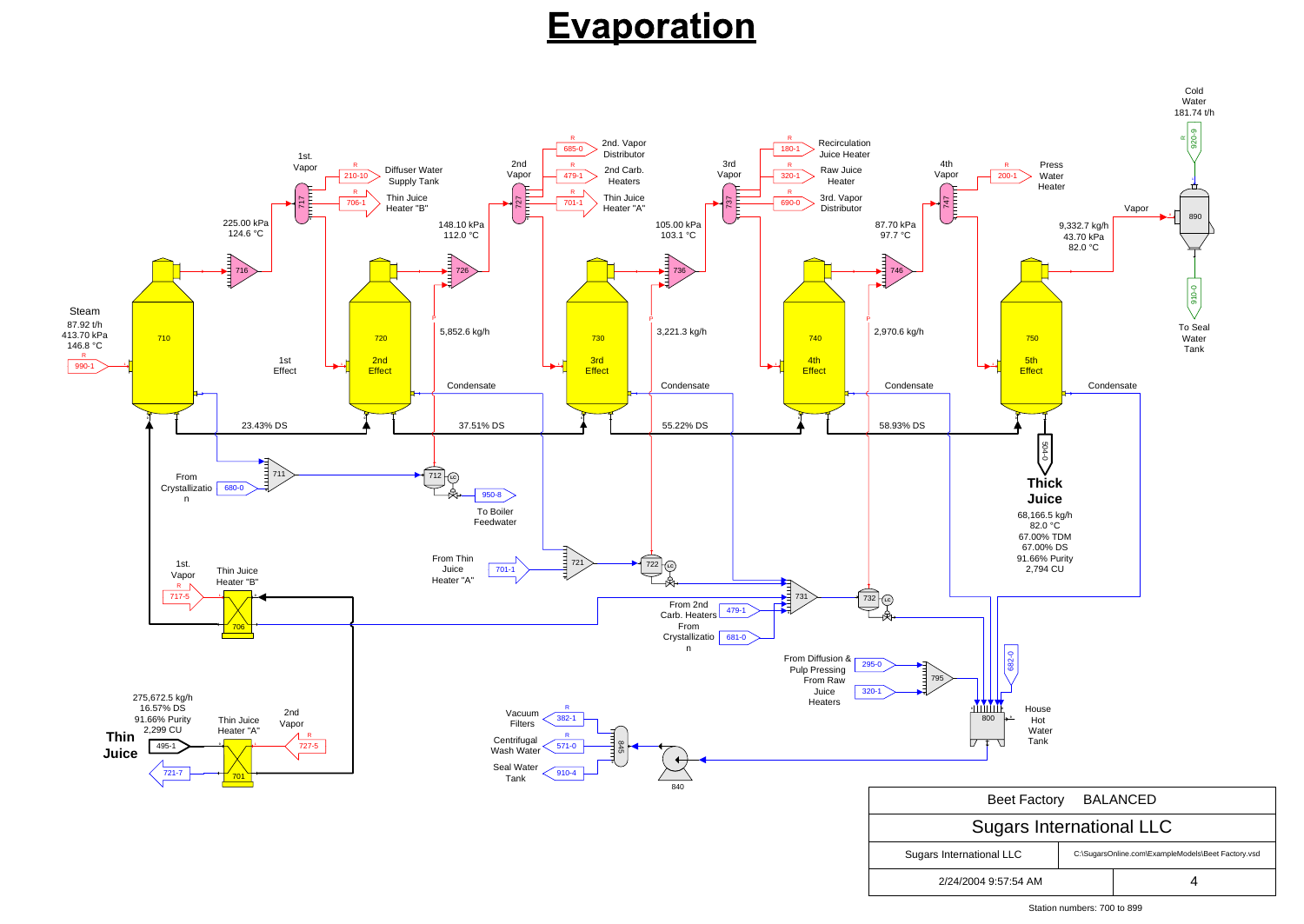

Station numbers: 700 to 899

## **Evaporation**